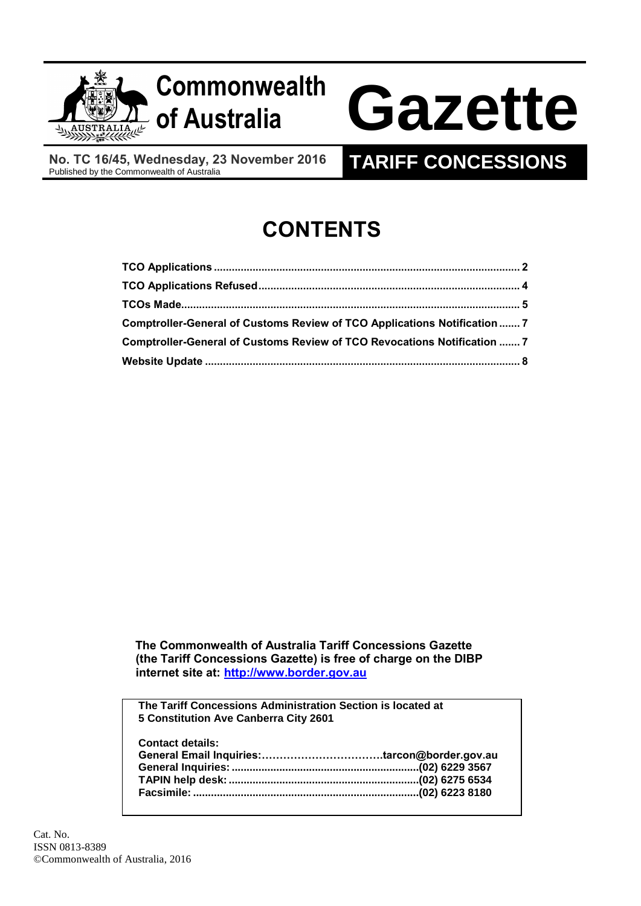

**No. TC 16/45, Wednesday, 23 November 2016**<br>Published by the Commonwealth of Australia

# **TARIFF CONCESSIONS**

# **CONTENTS**

| Comptroller-General of Customs Review of TCO Applications Notification  7 |  |
|---------------------------------------------------------------------------|--|
| Comptroller-General of Customs Review of TCO Revocations Notification  7  |  |
|                                                                           |  |

 **The Commonwealth of Australia Tariff Concessions Gazette (the Tariff Concessions Gazette) is free of charge on the DIBP internet site at: [http://www.border.gov.au](http://www.border.gov.au/)**

**The Tariff Concessions Administration Section is located at 5 Constitution Ave Canberra City 2601**

**Contact details: General Email Inquiries:…………………………….tarcon@border.gov.au General Inquiries: ...............................................................(02) 6229 3567 TAPIN help desk:................................................................(02) 6275 6534 Facsimile: ............................................................................(02) 6223 8180**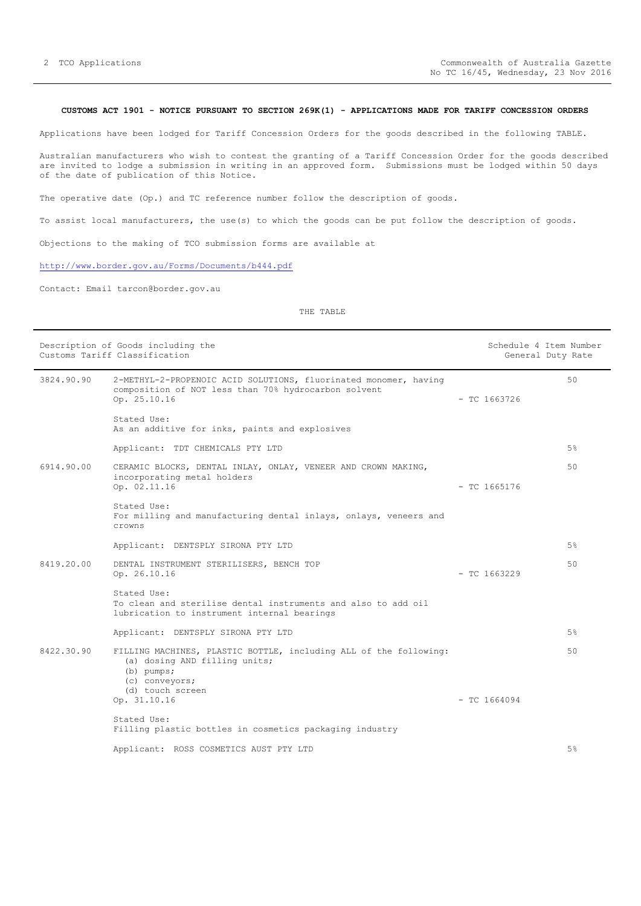# <span id="page-1-0"></span>**CUSTOMS ACT 1901 - NOTICE PURSUANT TO SECTION 269K(1) - APPLICATIONS MADE FOR TARIFF CONCESSION ORDERS**

Applications have been lodged for Tariff Concession Orders for the goods described in the following TABLE.

Australian manufacturers who wish to contest the granting of a Tariff Concession Order for the goods described are invited to lodge a submission in writing in an approved form. Submissions must be lodged within 50 days of the date of publication of this Notice.

The operative date (Op.) and TC reference number follow the description of goods.

To assist local manufacturers, the use(s) to which the goods can be put follow the description of goods.

Objections to the making of TCO submission forms are available at

<http://www.border.gov.au/Forms/Documents/b444.pdf>

Contact: Email tarcon@border.gov.au

# THE TABLE

|            | Description of Goods including the<br>Customs Tariff Classification                                                                                      |                | Schedule 4 Item Number<br>General Duty Rate |
|------------|----------------------------------------------------------------------------------------------------------------------------------------------------------|----------------|---------------------------------------------|
| 3824.90.90 | 2-METHYL-2-PROPENOIC ACID SOLUTIONS, fluorinated monomer, having<br>composition of NOT less than 70% hydrocarbon solvent<br>Op. 25.10.16                 | $-$ TC 1663726 | 50                                          |
|            | Stated Use:<br>As an additive for inks, paints and explosives                                                                                            |                |                                             |
|            | Applicant: TDT CHEMICALS PTY LTD                                                                                                                         |                | 5%                                          |
| 6914.90.00 | CERAMIC BLOCKS, DENTAL INLAY, ONLAY, VENEER AND CROWN MAKING,<br>incorporating metal holders<br>Op. 02.11.16                                             | $-$ TC 1665176 | 50                                          |
|            | Stated Use:<br>For milling and manufacturing dental inlays, onlays, veneers and<br>crowns                                                                |                |                                             |
|            | Applicant: DENTSPLY SIRONA PTY LTD                                                                                                                       |                | 5%                                          |
| 8419.20.00 | DENTAL INSTRUMENT STERILISERS, BENCH TOP<br>Op. 26.10.16                                                                                                 | $-$ TC 1663229 | 50                                          |
|            | Stated Use:<br>To clean and sterilise dental instruments and also to add oil<br>lubrication to instrument internal bearings                              |                |                                             |
|            | Applicant: DENTSPLY SIRONA PTY LTD                                                                                                                       |                | 5%                                          |
| 8422.30.90 | FILLING MACHINES, PLASTIC BOTTLE, including ALL of the following:<br>(a) dosing AND filling units;<br>$(b)$ pumps;<br>(c) conveyors;<br>(d) touch screen |                | 50                                          |
|            | Op. 31.10.16                                                                                                                                             | $-$ TC 1664094 |                                             |
|            | Stated Use:<br>Filling plastic bottles in cosmetics packaging industry                                                                                   |                |                                             |
|            | Applicant: ROSS COSMETICS AUST PTY LTD                                                                                                                   |                | 5%                                          |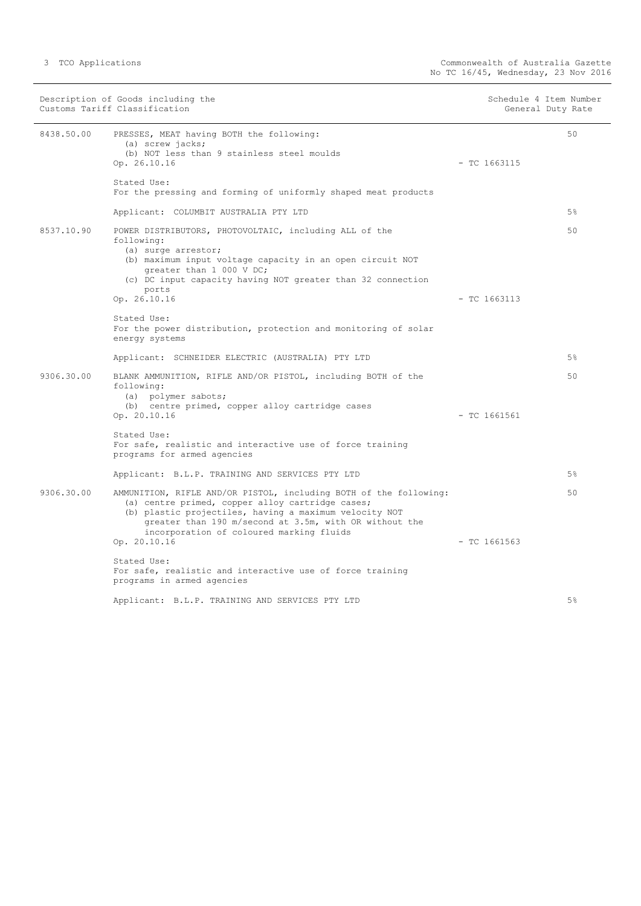|            | Description of Goods including the<br>Customs Tariff Classification                                                                                                                                                                                                                   | Schedule 4 Item Number<br>General Duty Rate |                |
|------------|---------------------------------------------------------------------------------------------------------------------------------------------------------------------------------------------------------------------------------------------------------------------------------------|---------------------------------------------|----------------|
| 8438.50.00 | PRESSES, MEAT having BOTH the following:<br>(a) screw jacks;<br>(b) NOT less than 9 stainless steel moulds<br>Op. 26.10.16                                                                                                                                                            | $-$ TC 1663115                              | 50             |
|            | Stated Use:<br>For the pressing and forming of uniformly shaped meat products                                                                                                                                                                                                         |                                             |                |
|            | Applicant: COLUMBIT AUSTRALIA PTY LTD                                                                                                                                                                                                                                                 |                                             | 5%             |
| 8537.10.90 | POWER DISTRIBUTORS, PHOTOVOLTAIC, including ALL of the<br>following:<br>(a) surge arrestor;<br>(b) maximum input voltage capacity in an open circuit NOT<br>greater than 1 000 V DC;<br>(c) DC input capacity having NOT greater than 32 connection<br>ports                          |                                             | 50             |
|            | Op. 26.10.16                                                                                                                                                                                                                                                                          | $-$ TC 1663113                              |                |
|            | Stated Use:<br>For the power distribution, protection and monitoring of solar<br>energy systems                                                                                                                                                                                       |                                             |                |
|            | Applicant: SCHNEIDER ELECTRIC (AUSTRALIA) PTY LTD                                                                                                                                                                                                                                     |                                             | 5%             |
| 9306.30.00 | BLANK AMMUNITION, RIFLE AND/OR PISTOL, including BOTH of the<br>following:<br>(a) polymer sabots;<br>(b) centre primed, copper alloy cartridge cases<br>Op. 20.10.16                                                                                                                  | $-$ TC 1661561                              | 50             |
|            | Stated Use:<br>For safe, realistic and interactive use of force training<br>programs for armed agencies                                                                                                                                                                               |                                             |                |
|            | Applicant: B.L.P. TRAINING AND SERVICES PTY LTD                                                                                                                                                                                                                                       |                                             | $5\%$          |
| 9306.30.00 | AMMUNITION, RIFLE AND/OR PISTOL, including BOTH of the following:<br>(a) centre primed, copper alloy cartridge cases;<br>(b) plastic projectiles, having a maximum velocity NOT<br>greater than 190 m/second at 3.5m, with OR without the<br>incorporation of coloured marking fluids |                                             | 50             |
|            | Op. 20.10.16                                                                                                                                                                                                                                                                          | $-$ TC 1661563                              |                |
|            | Stated Use:<br>For safe, realistic and interactive use of force training<br>programs in armed agencies                                                                                                                                                                                |                                             |                |
|            | Applicant: B.L.P. TRAINING AND SERVICES PTY LTD                                                                                                                                                                                                                                       |                                             | 5 <sup>8</sup> |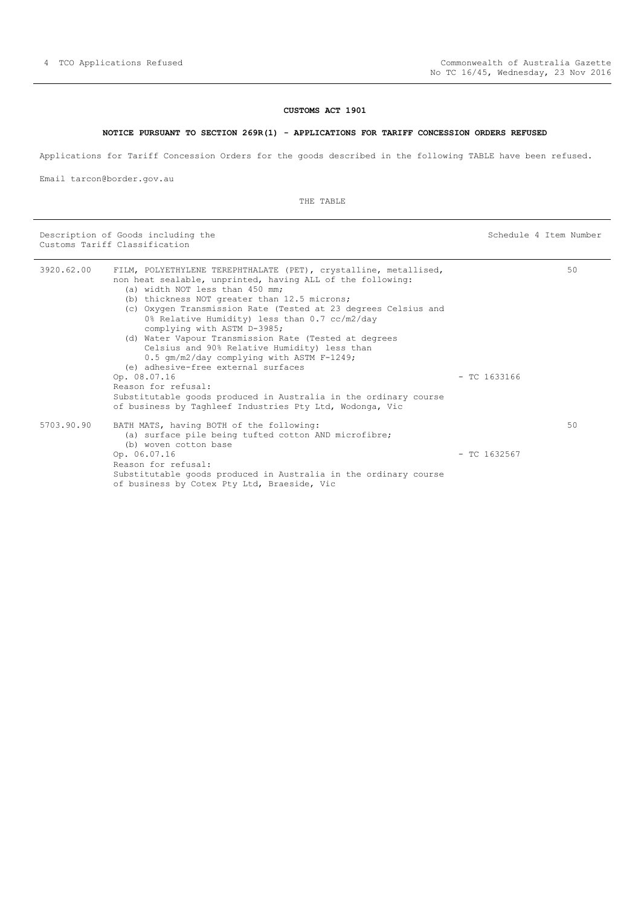# **CUSTOMS ACT 1901**

#### **NOTICE PURSUANT TO SECTION 269R(1) - APPLICATIONS FOR TARIFF CONCESSION ORDERS REFUSED**

<span id="page-3-0"></span>Applications for Tariff Concession Orders for the goods described in the following TABLE have been refused.

Email tarcon@border.gov.au

THE TABLE

Description of Goods including the Schedule 4 Item Number (Schedule 4 Item Number Customs Tariff Classification

| 3920.62.00 | FILM, POLYETHYLENE TEREPHTHALATE (PET), crystalline, metallised,<br>non heat sealable, unprinted, having ALL of the following:<br>(a) width NOT less than 450 mm;<br>(b) thickness NOT greater than 12.5 microns;<br>(c) Oxygen Transmission Rate (Tested at 23 degrees Celsius and<br>0% Relative Humidity) less than 0.7 cc/m2/day<br>complying with ASTM D-3985;<br>(d) Water Vapour Transmission Rate (Tested at degrees<br>Celsius and 90% Relative Humidity) less than |                | 50 |
|------------|------------------------------------------------------------------------------------------------------------------------------------------------------------------------------------------------------------------------------------------------------------------------------------------------------------------------------------------------------------------------------------------------------------------------------------------------------------------------------|----------------|----|
|            | 0.5 qm/m2/day complying with ASTM F-1249;<br>(e) adhesive-free external surfaces                                                                                                                                                                                                                                                                                                                                                                                             |                |    |
|            | Op. 08.07.16<br>Reason for refusal:<br>Substitutable goods produced in Australia in the ordinary course<br>of business by Taghleef Industries Pty Ltd, Wodonga, Vic                                                                                                                                                                                                                                                                                                          | $-$ TC 1633166 |    |
| 5703.90.90 | BATH MATS, having BOTH of the following:<br>(a) surface pile being tufted cotton AND microfibre;<br>(b) woven cotton base                                                                                                                                                                                                                                                                                                                                                    |                | 50 |
|            | Op. 06.07.16<br>Reason for refusal:<br>Substitutable goods produced in Australia in the ordinary course<br>of business by Cotex Pty Ltd, Braeside, Vic                                                                                                                                                                                                                                                                                                                       | $-$ TC 1632567 |    |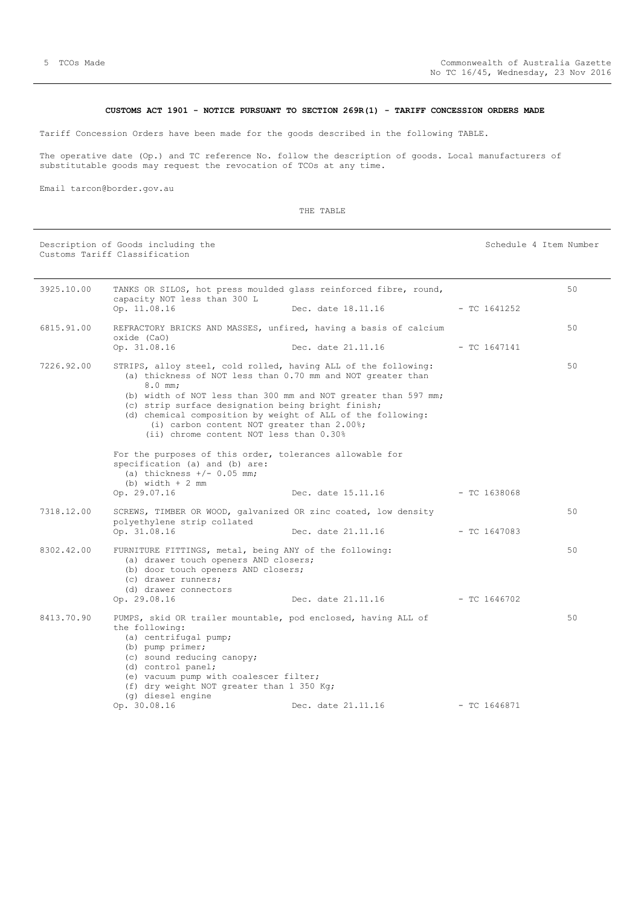# **CUSTOMS ACT 1901 - NOTICE PURSUANT TO SECTION 269R(1) - TARIFF CONCESSION ORDERS MADE**

<span id="page-4-0"></span>Tariff Concession Orders have been made for the goods described in the following TABLE.

The operative date (Op.) and TC reference No. follow the description of goods. Local manufacturers of substitutable goods may request the revocation of TCOs at any time.

Email tarcon@border.gov.au

THE TABLE

|            | Description of Goods including the<br>Customs Tariff Classification                                                                                                                                                                                                                                                                                                                                                                                                                    |                                 | Schedule 4 Item Number |    |
|------------|----------------------------------------------------------------------------------------------------------------------------------------------------------------------------------------------------------------------------------------------------------------------------------------------------------------------------------------------------------------------------------------------------------------------------------------------------------------------------------------|---------------------------------|------------------------|----|
| 3925.10.00 | TANKS OR SILOS, hot press moulded glass reinforced fibre, round,<br>capacity NOT less than 300 L<br>Op. 11.08.16                                                                                                                                                                                                                                                                                                                                                                       | Dec. date 18.11.16              | $-$ TC 1641252         | 50 |
| 6815.91.00 | REFRACTORY BRICKS AND MASSES, unfired, having a basis of calcium<br>oxide (CaO)<br>Op. 31.08.16                                                                                                                                                                                                                                                                                                                                                                                        | Dec. date 21.11.16              | $-$ TC 1647141         | 50 |
| 7226.92.00 | STRIPS, alloy steel, cold rolled, having ALL of the following:<br>(a) thickness of NOT less than 0.70 mm and NOT greater than<br>$8.0$ mm;<br>(b) width of NOT less than 300 mm and NOT greater than 597 mm;<br>(c) strip surface designation being bright finish;<br>(d) chemical composition by weight of ALL of the following:<br>(i) carbon content NOT greater than 2.00%;<br>(ii) chrome content NOT less than 0.30%<br>For the purposes of this order, tolerances allowable for |                                 |                        | 50 |
|            | specification (a) and (b) are:<br>(a) thickness $+/- 0.05$ mm;<br>$(b)$ width $+2$ mm<br>Op. 29.07.16                                                                                                                                                                                                                                                                                                                                                                                  | Dec. date 15.11.16 - TC 1638068 |                        |    |
| 7318.12.00 | SCREWS, TIMBER OR WOOD, galvanized OR zinc coated, low density<br>polyethylene strip collated<br>Op. 31.08.16                                                                                                                                                                                                                                                                                                                                                                          | Dec. date 21.11.16              | - TC 1647083           | 50 |
| 8302.42.00 | FURNITURE FITTINGS, metal, being ANY of the following:<br>(a) drawer touch openers AND closers;<br>(b) door touch openers AND closers;<br>(c) drawer runners;<br>(d) drawer connectors<br>Op. 29.08.16                                                                                                                                                                                                                                                                                 | Dec. date 21.11.16              | $- TC 1646702$         | 50 |
| 8413.70.90 | PUMPS, skid OR trailer mountable, pod enclosed, having ALL of<br>the following:<br>(a) centrifugal pump;<br>(b) pump primer;<br>(c) sound reducing canopy;<br>(d) control panel;<br>(e) vacuum pump with coalescer filter;<br>(f) dry weight NOT greater than 1 350 Kg;<br>(q) diesel engine<br>Op. 30.08.16                                                                                                                                                                           | Dec. date 21.11.16              | $-$ TC 1646871         | 50 |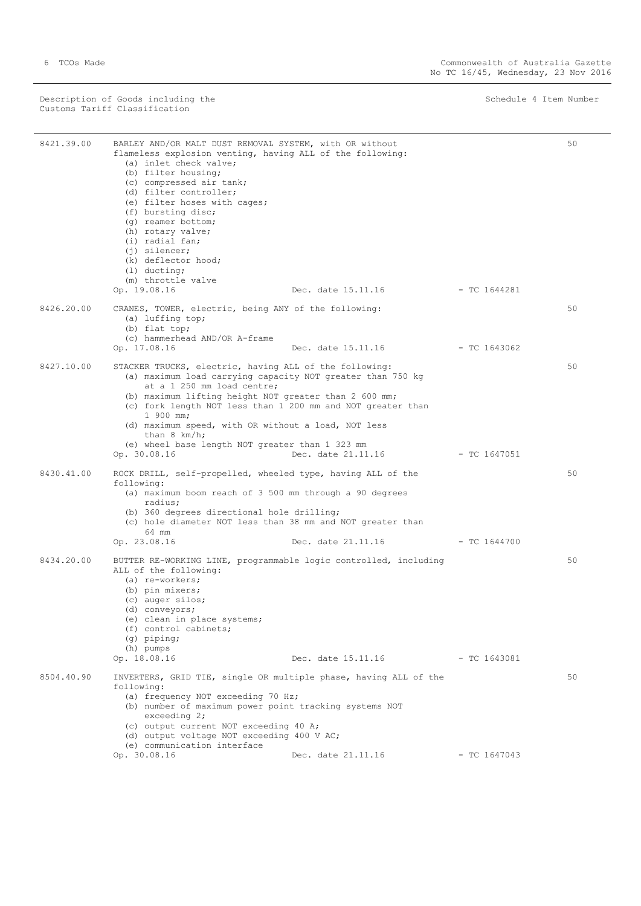Description of Goods including the Schedule 4 Item Number (Schedule 4 Item Number Customs Tariff Classification

÷,

| 8421.39.00 | BARLEY AND/OR MALT DUST REMOVAL SYSTEM, with OR without<br>flameless explosion venting, having ALL of the following:<br>(a) inlet check valve;<br>(b) filter housing;<br>(c) compressed air tank;                                                                                         |                    |                | 50 |
|------------|-------------------------------------------------------------------------------------------------------------------------------------------------------------------------------------------------------------------------------------------------------------------------------------------|--------------------|----------------|----|
|            | (d) filter controller;<br>(e) filter hoses with cages;<br>(f) bursting disc;<br>(q) reamer bottom;<br>(h) rotary valve;<br>(i) radial fan;                                                                                                                                                |                    |                |    |
|            | $(i)$ silencer;<br>(k) deflector hood;<br>$(1)$ ducting;<br>(m) throttle valve                                                                                                                                                                                                            |                    |                |    |
|            | Op. 19.08.16                                                                                                                                                                                                                                                                              | Dec. date 15.11.16 | - TC 1644281   |    |
| 8426.20.00 | CRANES, TOWER, electric, being ANY of the following:<br>(a) luffing top;<br>(b) flat top;                                                                                                                                                                                                 |                    |                | 50 |
|            | (c) hammerhead AND/OR A-frame<br>Op. 17.08.16                                                                                                                                                                                                                                             | Dec. date 15.11.16 | - TC 1643062   |    |
| 8427.10.00 | STACKER TRUCKS, electric, having ALL of the following:<br>(a) maximum load carrying capacity NOT greater than 750 kg<br>at a 1 250 mm load centre;<br>(b) maximum lifting height NOT greater than 2 600 mm;<br>(c) fork length NOT less than 1 200 mm and NOT greater than                |                    |                | 50 |
|            | 1 900 mm;<br>(d) maximum speed, with OR without a load, NOT less<br>than $8 \ km/h$ ;                                                                                                                                                                                                     |                    |                |    |
|            | (e) wheel base length NOT greater than 1 323 mm<br>Op. 30.08.16                                                                                                                                                                                                                           | Dec. date 21.11.16 | $-$ TC 1647051 |    |
| 8430.41.00 | ROCK DRILL, self-propelled, wheeled type, having ALL of the<br>following:<br>(a) maximum boom reach of 3 500 mm through a 90 degrees<br>radius;<br>(b) 360 degrees directional hole drilling;                                                                                             |                    |                | 50 |
|            | (c) hole diameter NOT less than 38 mm and NOT greater than<br>64 mm                                                                                                                                                                                                                       |                    |                |    |
|            | Op. 23.08.16                                                                                                                                                                                                                                                                              | Dec. date 21.11.16 | $-$ TC 1644700 |    |
| 8434.20.00 | BUTTER RE-WORKING LINE, programmable logic controlled, including<br>ALL of the following:<br>(a) re-workers;<br>(b) pin mixers;<br>(c) auger silos;<br>(d) conveyors;<br>(e) clean in place systems;<br>(f) control cabinets;<br>$(q)$ piping;<br>(h) pumps                               |                    |                | 50 |
|            | Op. 18.08.16                                                                                                                                                                                                                                                                              | Dec. date 15.11.16 | - TC 1643081   |    |
| 8504.40.90 | INVERTERS, GRID TIE, single OR multiple phase, having ALL of the<br>following:<br>(a) frequency NOT exceeding 70 Hz;<br>(b) number of maximum power point tracking systems NOT<br>exceeding $2$ ;<br>(c) output current NOT exceeding 40 A;<br>(d) output voltage NOT exceeding 400 V AC; |                    |                | 50 |
|            | (e) communication interface<br>Op. 30.08.16                                                                                                                                                                                                                                               | Dec. date 21.11.16 | $-$ TC 1647043 |    |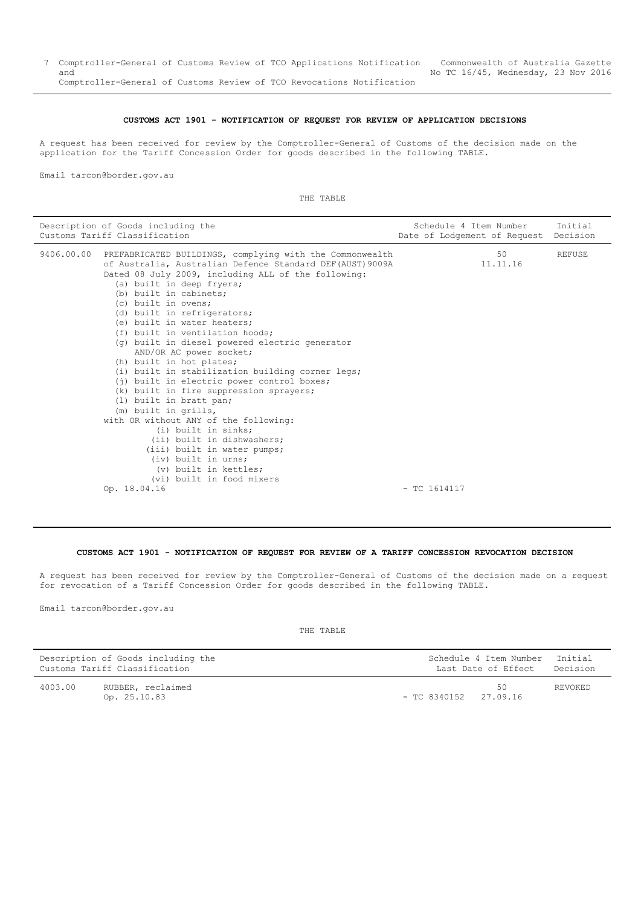#### **CUSTOMS ACT 1901 - NOTIFICATION OF REQUEST FOR REVIEW OF APPLICATION DECISIONS**

<span id="page-6-0"></span>A request has been received for review by the Comptroller-General of Customs of the decision made on the application for the Tariff Concession Order for goods described in the following TABLE.

Email tarcon@border.gov.au

THE TABLE

| Description of Goods including the<br>Customs Tariff Classification                                                                                                                                                                                                                                                                                                                                                                                                                                                                                                                                                                                                                                                                                                                                                                                                                                        | Schedule 4 Item Number<br>Date of Lodgement of Request | Initial<br>Decision |
|------------------------------------------------------------------------------------------------------------------------------------------------------------------------------------------------------------------------------------------------------------------------------------------------------------------------------------------------------------------------------------------------------------------------------------------------------------------------------------------------------------------------------------------------------------------------------------------------------------------------------------------------------------------------------------------------------------------------------------------------------------------------------------------------------------------------------------------------------------------------------------------------------------|--------------------------------------------------------|---------------------|
| 9406.00.00 PREFABRICATED BUILDINGS, complying with the Commonwealth<br>of Australia, Australian Defence Standard DEF (AUST) 9009A<br>Dated 08 July 2009, including ALL of the following:<br>(a) built in deep fryers;<br>(b) built in cabinets;<br>(c) built in ovens;<br>(d) built in refrigerators;<br>(e) built in water heaters;<br>(f) built in ventilation hoods;<br>(q) built in diesel powered electric generator<br>AND/OR AC power socket;<br>(h) built in hot plates;<br>(i) built in stabilization building corner legs;<br>(j) built in electric power control boxes;<br>(k) built in fire suppression sprayers;<br>(1) built in bratt pan;<br>(m) built in grills,<br>with OR without ANY of the following:<br>(i) built in sinks;<br>(ii) built in dishwashers;<br>(iii) built in water pumps;<br>(iv) built in urns;<br>(v) built in kettles;<br>(vi) built in food mixers<br>Op. 18.04.16 | 50<br>11.11.16<br>$-$ TC 1614117                       | <b>REFUSE</b>       |
|                                                                                                                                                                                                                                                                                                                                                                                                                                                                                                                                                                                                                                                                                                                                                                                                                                                                                                            |                                                        |                     |

# **CUSTOMS ACT 1901 - NOTIFICATION OF REQUEST FOR REVIEW OF A TARIFF CONCESSION REVOCATION DECISION**

<span id="page-6-1"></span>A request has been received for review by the Comptroller-General of Customs of the decision made on a request for revocation of a Tariff Concession Order for goods described in the following TABLE.

Email tarcon@border.gov.au

THE TABLE

|         | Description of Goods including the<br>Customs Tariff Classification |                         | Schedule 4 Item Number<br>Last Date of Effect | Initial<br>Decision |
|---------|---------------------------------------------------------------------|-------------------------|-----------------------------------------------|---------------------|
| 4003.00 | RUBBER, reclaimed<br>Op. 25.10.83                                   | $-$ TC 8340152 27.09.16 | 50                                            | REVOKED             |